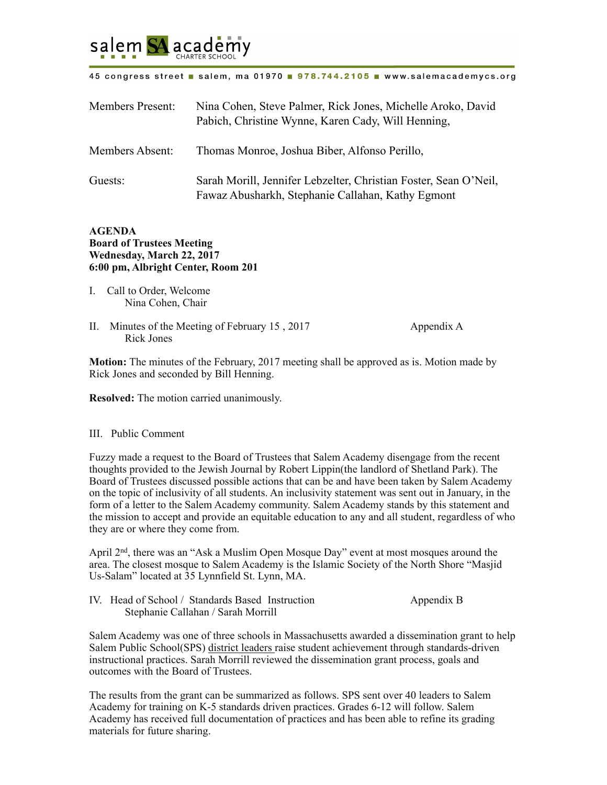

## 45 congress street a salem, ma 01970 a 978.744.2105 a www.salemacademycs.org

| <b>Members Present:</b> | Nina Cohen, Steve Palmer, Rick Jones, Michelle Aroko, David<br>Pabich, Christine Wynne, Karen Cady, Will Henning,     |
|-------------------------|-----------------------------------------------------------------------------------------------------------------------|
| Members Absent:         | Thomas Monroe, Joshua Biber, Alfonso Perillo,                                                                         |
| Guests:                 | Sarah Morill, Jennifer Lebzelter, Christian Foster, Sean O'Neil,<br>Fawaz Abusharkh, Stephanie Callahan, Kathy Egmont |

## **AGENDA Board of Trustees Meeting Wednesday, March 22, 2017 6:00 pm, Albright Center, Room 201**

- I. Call to Order, Welcome Nina Cohen, Chair
- II. Minutes of the Meeting of February 15, 2017 Appendix A Rick Jones

**Motion:** The minutes of the February, 2017 meeting shall be approved as is. Motion made by Rick Jones and seconded by Bill Henning.

**Resolved:** The motion carried unanimously.

## III. Public Comment

Fuzzy made a request to the Board of Trustees that Salem Academy disengage from the recent thoughts provided to the Jewish Journal by Robert Lippin(the landlord of Shetland Park). The Board of Trustees discussed possible actions that can be and have been taken by Salem Academy on the topic of inclusivity of all students. An inclusivity statement was sent out in January, in the form of a letter to the Salem Academy community. Salem Academy stands by this statement and the mission to accept and provide an equitable education to any and all student, regardless of who they are or where they come from.

April 2nd, there was an "Ask a Muslim Open Mosque Day" event at most mosques around the area. The closest mosque to Salem Academy is the Islamic Society of the North Shore "Masjid Us-Salam" located at 35 Lynnfield St. Lynn, MA.

| IV. Head of School / Standards Based Instruction | Appendix B |
|--------------------------------------------------|------------|
| Stephanie Callahan / Sarah Morrill               |            |

Salem Academy was one of three schools in Massachusetts awarded a dissemination grant to help Salem Public School(SPS) district leaders raise student achievement through standards-driven instructional practices. Sarah Morrill reviewed the dissemination grant process, goals and outcomes with the Board of Trustees.

The results from the grant can be summarized as follows. SPS sent over 40 leaders to Salem Academy for training on K-5 standards driven practices. Grades 6-12 will follow. Salem Academy has received full documentation of practices and has been able to refine its grading materials for future sharing.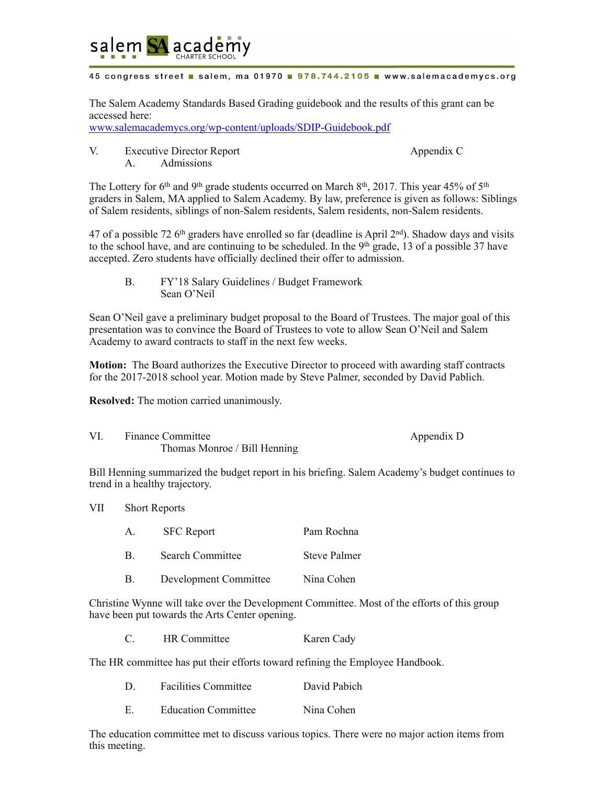

## 45 congress street a salem, ma 01970 a 978.744.2105 a www.salemacademycs.org

The Salem Academy Standards Based Grading guidebook and the results of this grant can be accessed here:

[www.salemacademycs.org/wp-content/uploads/SDIP-Guidebook.pdf](http://www.salemacademycs.org/wp-content/uploads/SDIP-Guidebook.pdf)

V. Executive Director Report Appendix C A. Admissions

The Lottery for 6<sup>th</sup> and 9<sup>th</sup> grade students occurred on March 8<sup>th</sup>, 2017. This year 45% of 5<sup>th</sup> graders in Salem, MA applied to Salem Academy. By law, preference is given as follows: Siblings of Salem residents, siblings of non-Salem residents, Salem residents, non-Salem residents.

47 of a possible 72 6th graders have enrolled so far (deadline is April 2nd). Shadow days and visits to the school have, and are continuing to be scheduled. In the 9<sup>th</sup> grade, 13 of a possible 37 have accepted. Zero students have officially declined their offer to admission.

 B. FY'18 Salary Guidelines / Budget Framework Sean O'Neil

Sean O'Neil gave a preliminary budget proposal to the Board of Trustees. The major goal of this presentation was to convince the Board of Trustees to vote to allow Sean O'Neil and Salem Academy to award contracts to staff in the next few weeks.

**Motion:** The Board authorizes the Executive Director to proceed with awarding staff contracts for the 2017-2018 school year. Motion made by Steve Palmer, seconded by David Pablich.

**Resolved:** The motion carried unanimously.

VI. Finance Committee Appendix D Thomas Monroe / Bill Henning

Bill Henning summarized the budget report in his briefing. Salem Academy's budget continues to trend in a healthy trajectory.

VII Short Reports

| $A_{-}$ | <b>SFC</b> Report     | Pam Rochna   |
|---------|-----------------------|--------------|
|         | Search Committee      | Steve Palmer |
|         | Development Committee | Nina Cohen   |

Christine Wynne will take over the Development Committee. Most of the efforts of this group have been put towards the Arts Center opening.

|  | HR Committee | Karen Cady |
|--|--------------|------------|
|--|--------------|------------|

The HR committee has put their efforts toward refining the Employee Handbook.

|  | <b>Facilities Committee</b> | David Pabich |
|--|-----------------------------|--------------|
|  | <b>Education Committee</b>  | Nina Cohen   |

The education committee met to discuss various topics. There were no major action items from this meeting.